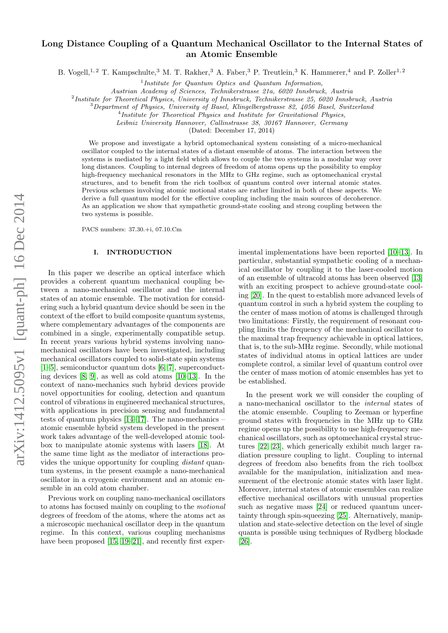# arXiv:1412.5095v1 [quant-ph] 16 Dec 2014 arXiv:1412.5095v1 [quant-ph] 16 Dec 2014

# Long Distance Coupling of a Quantum Mechanical Oscillator to the Internal States of an Atomic Ensemble

B. Vogell,<sup>1,2</sup> T. Kampschulte,<sup>3</sup> M. T. Rakher,<sup>3</sup> A. Faber,<sup>3</sup> P. Treutlein,<sup>3</sup> K. Hammerer,<sup>4</sup> and P. Zoller<sup>1,2</sup>

<sup>1</sup>Institute for Quantum Optics and Quantum Information,

Austrian Academy of Sciences, Technikerstrasse 21a, 6020 Innsbruck, Austria

<sup>2</sup>Institute for Theoretical Physics, University of Innsbruck, Technikerstrasse 25, 6020 Innsbruck, Austria

<sup>3</sup>Department of Physics, University of Basel, Klingelbergstrasse 82, 4056 Basel, Switzerland

<sup>4</sup>Institute for Theoretical Physics and Institute for Gravitational Physics,

Leibniz University Hannover, Callinstrasse 38, 30167 Hannover, Germany

(Dated: December 17, 2014)

We propose and investigate a hybrid optomechanical system consisting of a micro-mechanical oscillator coupled to the internal states of a distant ensemble of atoms. The interaction between the systems is mediated by a light field which allows to couple the two systems in a modular way over long distances. Coupling to internal degrees of freedom of atoms opens up the possibility to employ high-frequency mechanical resonators in the MHz to GHz regime, such as optomechanical crystal structures, and to benefit from the rich toolbox of quantum control over internal atomic states. Previous schemes involving atomic motional states are rather limited in both of these aspects. We derive a full quantum model for the effective coupling including the main sources of decoherence. As an application we show that sympathetic ground-state cooling and strong coupling between the two systems is possible.

PACS numbers: 37.30.+i, 07.10.Cm

# I. INTRODUCTION

In this paper we describe an optical interface which provides a coherent quantum mechanical coupling between a nano-mechanical oscillator and the internal states of an atomic ensemble. The motivation for considering such a hybrid quantum device should be seen in the context of the effort to build composite quantum systems, where complementary advantages of the components are combined in a single, experimentally compatible setup. In recent years various hybrid systems involving nanomechanical oscillators have been investigated, including mechanical oscillators coupled to solid-state spin systems [\[1–](#page-13-0)[5\]](#page-13-1), semiconductor quantum dots [\[6,](#page-13-2) [7\]](#page-13-3), superconducting devices [\[8,](#page-13-4) [9\]](#page-13-5), as well as cold atoms [\[10–](#page-13-6)[13\]](#page-13-7). In the context of nano-mechanics such hybrid devices provide novel opportunities for cooling, detection and quantum control of vibrations in engineered mechanical structures, with applications in precision sensing and fundamental tests of quantum physics [\[14](#page-13-8)[–17\]](#page-13-9). The nano-mechanics – atomic ensemble hybrid system developed in the present work takes advantage of the well-developed atomic toolbox to manipulate atomic systems with lasers [\[18\]](#page-13-10). At the same time light as the mediator of interactions provides the unique opportunity for coupling distant quantum systems, in the present example a nano-mechanical oscillator in a cryogenic environment and an atomic ensemble in an cold atom chamber.

Previous work on coupling nano-mechanical oscillators to atoms has focused mainly on coupling to the motional degrees of freedom of the atoms, where the atoms act as a microscopic mechanical oscillator deep in the quantum regime. In this context, various coupling mechanisms have been proposed [\[15,](#page-13-11) [19](#page-13-12)[–21\]](#page-13-13), and recently first exper-

imental implementations have been reported [\[10–](#page-13-6)[13\]](#page-13-7). In particular, substantial sympathetic cooling of a mechanical oscillator by coupling it to the laser-cooled motion of an ensemble of ultracold atoms has been observed [\[13\]](#page-13-7) with an exciting prospect to achieve ground-state cooling [\[20\]](#page-13-14). In the quest to establish more advanced levels of quantum control in such a hybrid system the coupling to the center of mass motion of atoms is challenged through two limitations: Firstly, the requirement of resonant coupling limits the frequency of the mechanical oscillator to the maximal trap frequency achievable in optical lattices, that is, to the sub-MHz regime. Secondly, while motional states of individual atoms in optical lattices are under complete control, a similar level of quantum control over the center of mass motion of atomic ensembles has yet to be established.

In the present work we will consider the coupling of a nano-mechanical oscillator to the internal states of the atomic ensemble. Coupling to Zeeman or hyperfine ground states with frequencies in the MHz up to GHz regime opens up the possibility to use high-frequency mechanical oscillators, such as optomechanical crystal structures [\[22,](#page-13-15) [23\]](#page-13-16), which generically exhibit much larger radiation pressure coupling to light. Coupling to internal degrees of freedom also benefits from the rich toolbox available for the manipulation, initialization and measurement of the electronic atomic states with laser light. Moreover, internal states of atomic ensembles can realize effective mechanical oscillators with unusual properties such as negative mass [\[24\]](#page-13-17) or reduced quantum uncertainty through spin-squeezing [\[25\]](#page-13-18). Alternatively, manipulation and state-selective detection on the level of single quanta is possible using techniques of Rydberg blockade [\[26\]](#page-13-19).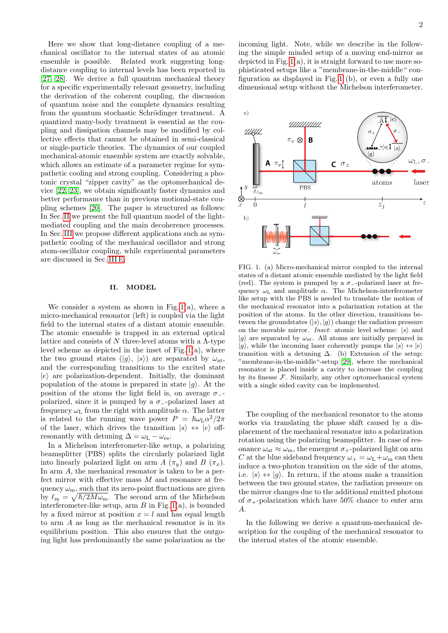Here we show that long-distance coupling of a mechanical oscillator to the internal states of an atomic ensemble is possible. Related work suggesting longdistance coupling to internal levels has been reported in [\[27,](#page-13-20) [28\]](#page-13-21). We derive a full quantum mechanical theory for a specific experimentally relevant geometry, including the derivation of the coherent coupling, the discussion of quantum noise and the complete dynamics resulting from the quantum stochastic Schrödinger treatment. A quantized many-body treatment is essential as the coupling and dissipation channels may be modified by collective effects that cannot be obtained in semi-classical or single-particle theories. The dynamics of our coupled mechanical-atomic ensemble system are exactly solvable, which allows an estimate of a parameter regime for sympathetic cooling and strong coupling. Considering a photonic crystal "zipper cavity" as the optomechanical device [\[22,](#page-13-15) [23\]](#page-13-16), we obtain significantly faster dynamics and better performance than in previous motional-state coupling schemes [\[20\]](#page-13-14). The paper is structured as follows: In Sec. [II](#page-1-0) we present the full quantum model of the lightmediated coupling and the main decoherence processes. In Sec. [III](#page-7-0) we propose different applications such as sympathetic cooling of the mechanical oscillator and strong atom-oscillator coupling, while experimental parameters are discussed in Sec. [III E.](#page-10-0)

# <span id="page-1-0"></span>II. MODEL

We consider a system as shown in Fig.  $1(a)$ , where a micro-mechanical resonator (left) is coupled via the light field to the internal states of a distant atomic ensemble. The atomic ensemble is trapped in an external optical lattice and consists of  $N$  three-level atoms with a  $\Lambda$ -type level scheme as depicted in the inset of Fig.  $1(a)$ , where the two ground states  $(|g\rangle, |s\rangle)$  are separated by  $\omega_{at}$ , and the corresponding transitions to the excited state  $|e\rangle$  are polarization-dependent. Initially, the dominant population of the atoms is prepared in state  $|g\rangle$ . At the position of the atoms the light field is, on average  $\sigma$ -polarized, since it is pumped by a  $\sigma_$ -polarized laser at frequency  $\omega_{\text{L}}$  from the right with amplitude  $\alpha$ . The latter is related to the running wave power  $P = \hbar \omega_{\rm L} \alpha^2 / 2\pi$ of the laser, which drives the transition  $|s\rangle \leftrightarrow |e\rangle$  offresonantly with detuning  $\Delta = \omega_{\rm L} - \omega_{\rm es}$ .

In a Michelson interferometer-like setup, a polarizing beamsplitter (PBS) splits the circularly polarized light into linearly polarized light on arm  $A(\pi_u)$  and  $B(\pi_x)$ . In arm A, the mechanical resonator is taken to be a perfect mirror with effective mass  $M$  and resonance at frequency  $\omega_m$ , such that its zero-point fluctuations are given by  $\ell_{\rm m} = \sqrt{\hbar/2M\omega_{\rm m}}$ . The second arm of the Michelson interferometer-like setup, arm  $B$  in Fig. [1\(](#page-1-1)a), is bounded by a fixed mirror at position  $x = l$  and has equal length to arm A as long as the mechanical resonator is in its equilibrium position. This also ensures that the outgoing light has predominantly the same polarization as the

incoming light. Note, while we describe in the following the simple minded setup of a moving end-mirror as depicted in Fig.  $1(a)$ , it is straight forward to use more sophisticated setups like a "membrane-in-the-middle" configuration as displayed in Fig. [1](#page-1-1) (b), or even a fully one dimensional setup without the Michelson interferometer.



<span id="page-1-1"></span>FIG. 1. (a) Micro-mechanical mirror coupled to the internal states of a distant atomic ensemble mediated by the light field (red). The system is pumped by a  $\sigma$ -polarized laser at frequency  $\omega_{\text{L}}$  and amplitude  $\alpha$ . The Michelson-interferometer like setup with the PBS is needed to translate the motion of the mechanical resonator into a polarization rotation at the position of the atoms. In the other direction, transitions between the groundstates  $(|s\rangle, |g\rangle)$  change the radiation pressure on the movable mirror. *Inset*: atomic level scheme:  $|s\rangle$  and  $|g\rangle$  are separated by  $\omega_{\rm at}$ . All atoms are initially prepared in  $|g\rangle$ , while the incoming laser coherently pumps the  $|s\rangle \leftrightarrow |e\rangle$ transition with a detuning  $\Delta$ . (b) Extension of the setup: "membrane-in-the-middle"-setup [\[29\]](#page-13-22), where the mechanical resonator is placed inside a cavity to increase the coupling by its finesse  $F$ . Similarly, any other optomechanical system with a single sided cavity can be implemented.

The coupling of the mechanical resonator to the atoms works via translating the phase shift caused by a displacement of the mechanical resonator into a polarization rotation using the polarizing beamsplitter. In case of resonance  $\omega_{\rm at} \approx \omega_{\rm m}$ , the emergent  $\sigma_{+}$ -polarized light on arm C at the blue sideband frequency  $\omega_{+} = \omega_{\text{L}} + \omega_{\text{m}}$  can then induce a two-photon transition on the side of the atoms, i.e.  $|s\rangle \leftrightarrow |q\rangle$ . In return, if the atoms make a transition between the two ground states, the radiation pressure on the mirror changes due to the additional emitted photons of  $\sigma_{+}$ -polarization which have 50% chance to enter arm A.

In the following we derive a quantum-mechanical description for the coupling of the mechanical resonator to the internal states of the atomic ensemble.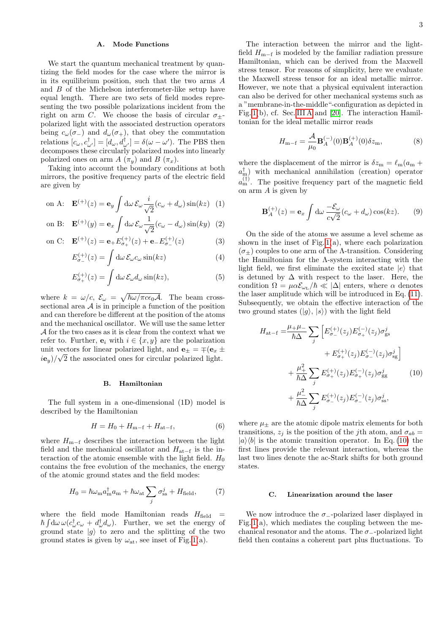# A. Mode Functions

We start the quantum mechanical treatment by quantizing the field modes for the case where the mirror is in its equilibrium position, such that the two arms A and B of the Michelson interferometer-like setup have equal length. There are two sets of field modes representing the two possible polarizations incident from the right on arm C. We choose the basis of circular  $\sigma_{\pm}$ polarized light with the associated destruction operators being  $c_{\omega}(\sigma_{-})$  and  $d_{\omega}(\sigma_{+})$ , that obey the commutation relations  $[c_{\omega}, c_{\omega'}^{\dagger}]=[d_{\omega}, d_{\omega'}^{\dagger}]=\delta(\omega-\omega').$  The PBS then decomposes these circularly polarized modes into linearly polarized ones on arm  $A(\pi_u)$  and  $B(\pi_x)$ .

Taking into account the boundary conditions at both mirrors, the positive frequency parts of the electric field are given by

on A: 
$$
\mathbf{E}^{(+)}(z) = \mathbf{e}_y \int d\omega \, \mathcal{E}_{\omega} \frac{i}{\sqrt{2}} (c_{\omega} + d_{\omega}) \sin(kz)
$$
 (1)

on B: 
$$
\mathbf{E}^{(+)}(y) = \mathbf{e}_x \int d\omega \, \mathcal{E}_{\omega} \frac{1}{\sqrt{2}} (c_{\omega} - d_{\omega}) \sin(ky)
$$
 (2)

on C: 
$$
\mathbf{E}^{(+)}(z) = \mathbf{e}_{+} E_{\sigma_{+}}^{(+)}(z) + \mathbf{e}_{-} E_{\sigma_{-}}^{(+)}(z)
$$
 (3)

$$
E_{\sigma_{-}}^{(+)}(z) = \int d\omega \, \mathcal{E}_{\omega} c_{\omega} \sin(kz) \tag{4}
$$

$$
E_{\sigma_+}^{(+)}(z) = \int \mathrm{d}\omega \, \mathcal{E}_{\omega} d_{\omega} \sin(kz), \tag{5}
$$

where  $k = \omega/c$ ,  $\mathcal{E}_{\omega} = \sqrt{\hbar \omega / \pi c \epsilon_0 \mathcal{A}}$ . The beam crosssectional area  $A$  is in principle a function of the position and can therefore be different at the position of the atoms and the mechanical oscillator. We will use the same letter A for the two cases as it is clear from the context what we refer to. Further,  $e_i$  with  $i \in \{x, y\}$  are the polarization unit vectors for linear polarized light, and  $\mathbf{e}_{\pm} = \mp (\mathbf{e}_x \pm \mathbf{e}_y)$  $i\mathbf{e}_y$  / $\sqrt{2}$  the associated ones for circular polarized light.

### B. Hamiltonian

The full system in a one-dimensional (1D) model is described by the Hamiltonian

$$
H = H_0 + H_{m-f} + H_{at-f}, \t\t(6)
$$

where  $H_{m-f}$  describes the interaction between the light field and the mechanical oscillator and  $H_{at-f}$  is the interaction of the atomic ensemble with the light field.  $H_0$ contains the free evolution of the mechanics, the energy of the atomic ground states and the field modes:

$$
H_0 = \hbar\omega_{\rm m}a_{\rm m}^\dagger a_{\rm m} + \hbar\omega_{\rm at} \sum_j \sigma_{\rm ss}^j + H_{\rm field},\qquad(7)
$$

where the field mode Hamiltonian reads  $H_{\text{field}}$  =  $\hbar \int d\omega \,\omega (c_{\omega}^{\dagger} c_{\omega} + d_{\omega}^{\dagger} d_{\omega}).$  Further, we set the energy of ground state  $|g\rangle$  to zero and the splitting of the two ground states is given by  $\omega_{at}$ , see inset of Fig. [1\(](#page-1-1)a).

The interaction between the mirror and the lightfield  $H_{m-f}$  is modeled by the familiar radiation pressure Hamiltonian, which can be derived from the Maxwell stress tensor. For reasons of simplicity, here we evaluate the Maxwell stress tensor for an ideal metallic mirror. However, we note that a physical equivalent interaction can also be derived for other mechanical systems such as a "membrane-in-the-middle"-configuration as depicted in Fig. [1\(](#page-1-1)b), cf. Sec. [III A](#page-7-1) and [\[20\]](#page-13-14). The interaction Hamiltonian for the ideal metallic mirror reads

<span id="page-2-2"></span><span id="page-2-1"></span>
$$
H_{m-f} = \frac{\mathcal{A}}{\mu_0} \mathbf{B}_A^{(-)}(0) \mathbf{B}_A^{(+)}(0) \delta z_m, \tag{8}
$$

where the displacement of the mirror is  $\delta z_{\rm m} = \ell_{\rm m}(a_{\rm m} +$  $a_{\text{m}}^{\dagger}$  with mechanical annihilation (creation) operator  $a_{\rm m}^{(\dagger)}$ . The positive frequency part of the magnetic field on arm  $A$  is given by

$$
\mathbf{B}_A^{(+)}(z) = \mathbf{e}_x \int d\omega \, \frac{-\mathcal{E}_\omega}{c\sqrt{2}} (c_\omega + d_\omega) \cos(kz). \tag{9}
$$

<span id="page-2-4"></span><span id="page-2-3"></span>On the side of the atoms we assume a level scheme as shown in the inset of Fig.  $1(a)$ , where each polarization  $(\sigma_{+})$  couples to one arm of the Λ-transition. Considering the Hamiltonian for the Λ-system interacting with the light field, we first eliminate the excited state  $|e\rangle$  that is detuned by  $\Delta$  with respect to the laser. Here, the condition  $\Omega = \mu \alpha \mathcal{E}_{\omega_L}/\hbar \ll |\Delta|$  enters, where  $\alpha$  denotes the laser amplitude which will be introduced in Eq. [\(11\)](#page-3-0). Subsequently, we obtain the effective interaction of the two ground states  $(|q\rangle, |s\rangle)$  with the light field

<span id="page-2-0"></span>
$$
H_{\text{at-f}} = \frac{\mu_{+}\mu_{-}}{\hbar\Delta} \sum_{j} \left[ E_{\sigma_{-}}^{(+)}(z_{j}) E_{\sigma_{+}}^{(-)}(z_{j}) \sigma_{\text{gs}}^{j} + E_{\sigma_{+}}^{(+)}(z_{j}) E_{\sigma_{-}}^{(-)}(z_{j}) \sigma_{\text{sg}}^{j} \right] + \frac{\mu_{+}^{2}}{\hbar\Delta} \sum_{j} E_{\sigma_{+}}^{(+)}(z_{j}) E_{\sigma_{+}}^{(-)}(z_{j}) \sigma_{\text{gg}}^{j} \qquad (10) + \frac{\mu_{-}^{2}}{\hbar\Delta} \sum_{j} E_{\sigma_{-}}^{(+)}(z_{j}) E_{\sigma_{-}}^{(-)}(z_{j}) \sigma_{\text{ss}}^{j},
$$

where  $\mu_{\pm}$  are the atomic dipole matrix elements for both transitions,  $z_i$  is the position of the *j*th atom, and  $\sigma_{ab} =$  $|a\rangle\langle b|$  is the atomic transition operator. In Eq. [\(10\)](#page-2-0) the first lines provide the relevant interaction, whereas the last two lines denote the ac-Stark shifts for both ground states.

# C. Linearization around the laser

We now introduce the  $\sigma_$ -polarized laser displayed in Fig.  $1(a)$ , which mediates the coupling between the mechanical resonator and the atoms. The  $\sigma_-\text{-polarized light}$ field then contains a coherent part plus fluctuations. To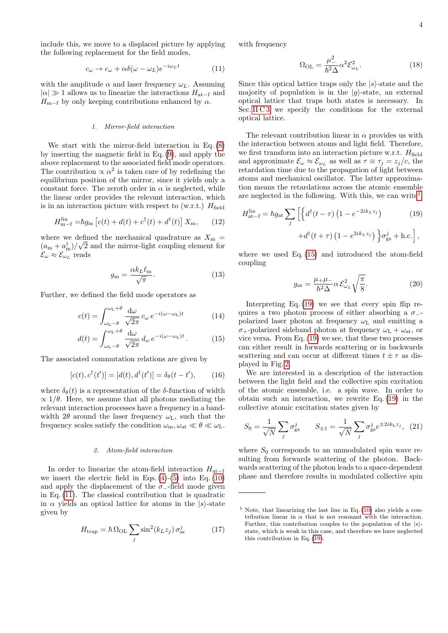include this, we move to a displaced picture by applying the following replacement for the field modes,

$$
c_{\omega} \to c_{\omega} + \alpha \delta(\omega - \omega_L) e^{-i\omega_L t} \tag{11}
$$

with the amplitude  $\alpha$  and laser frequency  $\omega_L$ . Assuming  $|\alpha| \gg 1$  allows us to linearize the interactions  $H_{\text{at-f}}$  and  $H_{m-f}$  by only keeping contributions enhanced by  $\alpha$ .

# 1. Mirror-field interaction

We start with the mirror-field interaction in Eq. [\(8\)](#page-2-1) by inserting the magnetic field in Eq. [\(9\)](#page-2-2), and apply the above replacement to the associated field mode operators. The contribution  $\propto \alpha^2$  is taken care of by redefining the equilibrium position of the mirror, since it yields only a constant force. The zeroth order in  $\alpha$  is neglected, while the linear order provides the relevant interaction, which is in an interaction picture with respect to (w.r.t.)  $H_{\text{field}}$ 

$$
H_{\mathbf{m-f}}^{\mathrm{lin}} = \hbar g_{\mathbf{m}} \left[ c(t) + d(t) + c^{\dagger}(t) + d^{\dagger}(t) \right] X_{\mathbf{m}}, \qquad (12)
$$

where we defined the mechanical quadrature as  $X_{\text{m}} =$  $(a_{\rm m} + a_{\rm m}^{\dagger})/\sqrt{2}$  and the mirror-light coupling element for  $\mathcal{E}_{\omega} \approx \mathcal{E}_{\omega_L}$  reads

$$
g_{\rm m} = \frac{\alpha k_L \ell_{\rm m}}{\sqrt{\pi}}.\tag{13}
$$

Further, we defined the field mode operators as

$$
c(t) = \int_{\omega_{\rm L}-\theta}^{\omega_{\rm L}+\theta} \frac{d\omega}{\sqrt{2\pi}} c_{\omega} e^{-i(\omega-\omega_{\rm L})t}
$$
(14)

$$
d(t) = \int_{\omega_{\rm L}-\theta}^{\omega_{\rm L}+\theta} \frac{d\omega}{\sqrt{2\pi}} d\omega \, e^{-i(\omega-\omega_{\rm L})t} \,. \tag{15}
$$

The associated commutation relations are given by

$$
[c(t), c^{\dagger}(t')] = [d(t), d^{\dagger}(t')] = \delta_{\theta}(t - t'), \qquad (16)
$$

where  $\delta_{\theta}(t)$  is a representation of the  $\delta$ -function of width  $\propto 1/\theta$ . Here, we assume that all photons mediating the relevant interaction processes have a frequency in a bandwidth  $2\theta$  around the laser frequency  $\omega_L$ , such that the frequency scales satisfy the condition  $\omega_{\rm m}, \omega_{\rm at} \ll \theta \ll \omega_{\rm L}$ .

### 2. Atom-field interaction

In order to linearize the atom-field interaction  $H_{at-f}$ we insert the electric field in Eqs.  $(4)-(5)$  $(4)-(5)$  into Eq.  $(10)$ and apply the displacement of the  $\sigma_$ -field mode given in Eq. [\(11\)](#page-3-0). The classical contribution that is quadratic in  $\alpha$  yields an optical lattice for atoms in the  $|s\rangle$ -state given by

$$
H_{\text{trap}} = \hbar \,\Omega_{\text{OL}} \sum_{j} \sin^2(k_L z_j) \,\sigma_{\text{ss}}^j \tag{17}
$$

<span id="page-3-0"></span>with frequency

$$
\Omega_{\text{OL}} = \frac{\mu_{-}^{2}}{\hbar^{2} \Delta} \alpha^{2} \mathcal{E}_{\omega_{L}}^{2}.
$$
\n(18)

Since this optical lattice traps only the  $|s\rangle$ -state and the majority of population is in the  $|q\rangle$ -state, an external optical lattice that traps both states is necessary. In Sec. [II C 3](#page-4-0) we specify the conditions for the external optical lattice.

The relevant contribution linear in  $\alpha$  provides us with the interaction between atoms and light field. Therefore, we first transform into an interaction picture w.r.t.  $H_{\text{field}}$ and approximate  $\mathcal{E}_{\omega} \approx \mathcal{E}_{\omega_L}$  as well as  $\tau \equiv \tau_j = z_j/c$ , the retardation time due to the propagation of light between atoms and mechanical oscillator. The latter approximation means the retardations across the atomic ensemble are neglected in the following. With this, we can write<sup>[1](#page-3-1)</sup>

$$
H_{\text{at-f}}^{\text{lin}} = \hbar g_{\text{at}} \sum_{j} \left[ \left\{ d^{\dagger} (t - \tau) \left( 1 - e^{-2ik_{L}z_{j}} \right) \right. \right. \left. (19)
$$

$$
+ d^{\dagger} (t + \tau) \left( 1 - e^{2ik_{L}z_{j}} \right) \right\} \sigma_{\text{gs}}^{j} + \text{h.c.} \right],
$$

<span id="page-3-6"></span>where we used Eq. [\(15\)](#page-3-2) and introduced the atom-field coupling

<span id="page-3-3"></span>
$$
g_{\rm at} = \frac{\mu_{+}\mu_{-}}{\hbar^2 \Delta} \alpha \mathcal{E}_{\omega_L}^2 \sqrt{\frac{\pi}{8}}.
$$
 (20)

<span id="page-3-8"></span><span id="page-3-2"></span>Interpreting Eq. [\(19\)](#page-3-3) we see that every spin flip requires a two photon process of either absorbing a  $\sigma$ polarized laser photon at frequency  $\omega_{\mathrm{L}}$  and emitting a  $\sigma_{+}$ -polarized sideband photon at frequency  $\omega_{\text{L}} + \omega_{\text{at}}$ , or vice versa. From Eq. [\(19\)](#page-3-3) we see, that these two processes can either result in forwards scattering or in backwards scattering and can occur at different times  $t \pm \tau$  as displayed in Fig. [2.](#page-4-1)

<span id="page-3-7"></span>We are interested in a description of the interaction between the light field and the collective spin excitation of the atomic ensemble, i.e. a spin wave. In order to obtain such an interaction, we rewrite Eq. [\(19\)](#page-3-3) in the collective atomic excitation states given by

<span id="page-3-4"></span>
$$
S_0 = \frac{1}{\sqrt{N}} \sum_j \sigma_{\rm gs}^j \qquad S_{\pm 1} = \frac{1}{\sqrt{N}} \sum_j \sigma_{\rm gs}^j e^{\pm 2ik_{\rm L}z_j}, \tag{21}
$$

where  $S_0$  corresponds to an unmodulated spin wave resulting from forwards scattering of the photon. Backwards scattering of the photon leads to a space-dependent phase and therefore results in modulated collective spin

<span id="page-3-5"></span><span id="page-3-1"></span><sup>&</sup>lt;sup>1</sup> Note, that linearizing the last line in Eq.  $(10)$  also yields a contribution linear in  $\alpha$  that is not resonant with the interaction. Further, this contribution couples to the population of the  $|s\rangle$ state, which is weak in this case, and therefore we have neglected this contribution in Eq. [\(19\)](#page-3-3).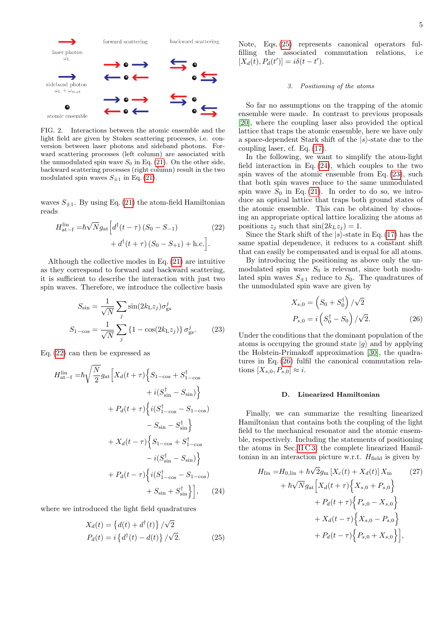

<span id="page-4-1"></span>FIG. 2. Interactions between the atomic ensemble and the light field are given by Stokes scattering processes, i.e. conversion between laser photons and sideband photons. Forward scattering processes (left column) are associated with the unmodulated spin wave  $S_0$  in Eq. [\(21\)](#page-3-4). On the other side, backward scattering processes (right column) result in the two modulated spin waves  $S_{\pm 1}$  in Eq. [\(21\)](#page-3-4).

waves  $S_{\pm 1}$ . By using Eq. [\(21\)](#page-3-4) the atom-field Hamiltonian reads

$$
H_{\text{at-f}}^{\text{lin}} = \hbar \sqrt{N} g_{\text{at}} \Big[ d^{\dagger} (t - \tau) (S_0 - S_{-1}) + d^{\dagger} (t + \tau) (S_0 - S_{+1}) + \text{h.c.} \Big]. \tag{22}
$$

Although the collective modes in Eq. [\(21\)](#page-3-4) are intuitive as they correspond to forward and backward scattering, it is sufficient to describe the interaction with just two spin waves. Therefore, we introduce the collective basis

$$
S_{\rm sin} = \frac{1}{\sqrt{N}} \sum_{j} \sin(2k_{\rm L}z_j) \sigma_{\rm gs}^j
$$

$$
S_{1-\rm cos} = \frac{1}{\sqrt{N}} \sum_{j} \left\{ 1 - \cos(2k_{\rm L}z_j) \right\} \sigma_{\rm gs}^j. \tag{23}
$$

Eq. [\(22\)](#page-4-2) can then be expressed as

$$
H_{\text{at-f}}^{\text{lin}} = \hbar \sqrt{\frac{N}{2}} g_{\text{at}} \Big[ X_d(t+\tau) \Big\{ S_{1-\cos} + S_{1-\cos}^{\dagger} + i(S_{\sin}^{\dagger} - S_{\sin}) \Big\} + P_d(t+\tau) \Big\{ i(S_{1-\cos}^{\dagger} - S_{1-\cos}) - S_{\sin} - S_{\sin}^{\dagger} \Big\} + X_d(t-\tau) \Big\{ S_{1-\cos} + S_{1-\cos}^{\dagger} - i(S_{\sin}^{\dagger} - S_{\sin}) \Big\} + P_d(t-\tau) \Big\{ i(S_{1-\cos}^{\dagger} - S_{1-\cos}) + S_{\sin} + S_{\sin}^{\dagger} \Big\} \Big], \quad (24)
$$

where we introduced the light field quadratures

$$
X_d(t) = \left\{ d(t) + d^{\dagger}(t) \right\} / \sqrt{2}
$$
  
\n
$$
P_d(t) = i \left\{ d^{\dagger}(t) - d(t) \right\} / \sqrt{2}.
$$
 (25)

Note, Eqs. [\(25\)](#page-4-3) represents canonical operators fulfilling the associated commutation relations, i.e  $[X_d(t), P_d(t')] = i\delta(t - t').$ 

# <span id="page-4-0"></span>3. Positioning of the atoms

So far no assumptions on the trapping of the atomic ensemble were made. In contrast to previous proposals [\[20\]](#page-13-14), where the coupling laser also provided the optical lattice that traps the atomic ensemble, here we have only a space-dependent Stark shift of the  $|s\rangle$ -state due to the coupling laser, cf. Eq. [\(17\)](#page-3-5).

In the following, we want to simplify the atom-light field interaction in Eq.  $(24)$ , which couples to the two spin waves of the atomic ensemble from Eq. [\(23\)](#page-4-5), such that both spin waves reduce to the same unmodulated spin wave  $S_0$  in Eq. [\(21\)](#page-3-4). In order to do so, we introduce an optical lattice that traps both ground states of the atomic ensemble. This can be obtained by choosing an appropriate optical lattice localizing the atoms at positions  $z_i$  such that  $\sin(2k_Lz_i) = 1$ .

<span id="page-4-2"></span>Since the Stark shift of the  $|s\rangle$ -state in Eq. [\(17\)](#page-3-5) has the same spatial dependence, it reduces to a constant shift that can easily be compensated and is equal for all atoms.

By introducing the positioning as above only the unmodulated spin wave  $S_0$  is relevant, since both modulated spin waves  $S_{\pm 1}$  reduce to  $S_0$ . The quadratures of the unmodulated spin wave are given by

<span id="page-4-6"></span>
$$
X_{s,0} = \left(S_0 + S_0^{\dagger}\right) / \sqrt{2}
$$
  
\n
$$
P_{s,0} = i \left(S_0^{\dagger} - S_0\right) / \sqrt{2}.
$$
 (26)

<span id="page-4-5"></span>Under the conditions that the dominant population of the atoms is occupying the ground state  $|g\rangle$  and by applying the Holstein-Primakoff approximation [\[30\]](#page-13-23), the quadratures in Eq. [\(26\)](#page-4-6) fulfil the canonical commutation relations  $[X_{s,0}, P_{s,0}] \approx i$ .

### <span id="page-4-7"></span>D. Linearized Hamiltonian

Finally, we can summarize the resulting linearized Hamiltonian that contains both the coupling of the light field to the mechanical resonator and the atomic ensemble, respectively. Including the statements of positioning the atoms in Sec. [II C 3,](#page-4-0) the complete linearized Hamiltonian in an interaction picture w.r.t.  $H_{\text{field}}$  is given by

<span id="page-4-4"></span><span id="page-4-3"></span>
$$
H_{\text{lin}} = H_{0,\text{lin}} + \hbar \sqrt{2} g_{\text{m}} \left[ X_c(t) + X_d(t) \right] X_{\text{m}} \qquad (27)
$$

$$
+ \hbar \sqrt{N} g_{\text{at}} \left[ X_d(t + \tau) \left\{ X_{s,0} + P_{s,0} \right\} + P_d(t + \tau) \left\{ P_{s,0} - X_{s,0} \right\} + X_d(t - \tau) \left\{ X_{s,0} - P_{s,0} \right\} + P_d(t - \tau) \left\{ P_{s,0} + X_{s,0} \right\} \right],
$$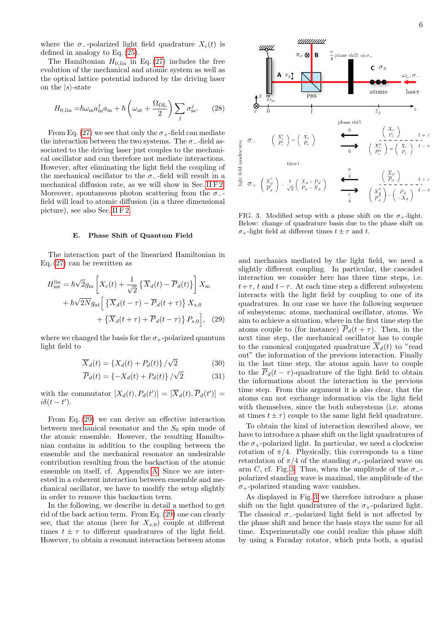where the  $\sigma$ --polarized light field quadrature  $X_c(t)$  is defined in analogy to Eq. [\(25\)](#page-4-3).

The Hamiltonian  $H_{0,\text{lin}}$  in Eq. [\(27\)](#page-4-7) includes the free evolution of the mechanical and atomic system as well as the optical lattice potential induced by the driving laser on the  $|s\rangle$ -state

$$
H_{0,\text{lin}} = \hbar \omega_{\text{m}} a_{\text{m}}^{\dagger} a_{\text{m}} + \hbar \left( \omega_{\text{at}} + \frac{\Omega_{\text{OL}}}{2} \right) \sum_{j} \sigma_{\text{ss}}^{j}.
$$
 (28)

From Eq. [\(27\)](#page-4-7) we see that only the  $\sigma_{+}$ -field can mediate the interaction between the two systems. The  $\sigma_-\text{-field}$  associated to the driving laser just couples to the mechanical oscillator and can therefore not mediate interactions. However, after eliminating the light field the coupling of the mechanical oscillator to the  $\sigma_-\text{-field}$  will result in a mechanical diffusion rate, as we will show in Sec. [II F 2.](#page-6-0) Moreover, spontaneous photon scattering from the  $\sigma_-\text{-}$ field will lead to atomic diffusion (in a three dimensional picture), see also Sec. [II F 2.](#page-6-0)

# <span id="page-5-3"></span>E. Phase Shift of Quantum Field

The interaction part of the linearized Hamiltonian in Eq. [\(27\)](#page-4-7) can be rewritten as

$$
H_{\rm int}^{\rm lin} = \hbar \sqrt{2} g_{\rm m} \left[ X_c(t) + \frac{1}{\sqrt{2}} \left\{ \overline{X}_d(t) - \overline{P}_d(t) \right\} \right] X_{\rm m}
$$

$$
+ \hbar \sqrt{2N} g_{\rm at} \left[ \left\{ \overline{X}_d(t-\tau) - \overline{P}_d(t+\tau) \right\} X_{s,0} + \left\{ \overline{X}_d(t+\tau) + \overline{P}_d(t-\tau) \right\} P_{s,0} \right], \quad (29)
$$

where we changed the basis for the  $\sigma_{+}$ -polarized quantum light field to

$$
\overline{X}_d(t) = \{X_d(t) + P_d(t)\}/\sqrt{2}
$$
\n(30)

$$
\overline{P}_d(t) = \{-X_d(t) + P_d(t)\} / \sqrt{2}
$$
\n(31)

with the commutator  $[X_d(t), P_d(t')] = [\overline{X}_d(t), \overline{P}_d(t')] =$  $i\delta(t-t')$ .

From Eq. [\(29\)](#page-5-0) we can derive an effective interaction between mechanical resonator and the  $S_0$  spin mode of the atomic ensemble. However, the resulting Hamiltonian contains in addition to the coupling between the ensemble and the mechanical resonator an undesirable contribution resulting from the backaction of the atomic ensemble on itself, cf. Appendix [A.](#page-11-0) Since we are interested in a coherent interaction between ensemble and mechanical oscillator, we have to modify the setup slightly in order to remove this backaction term.

In the following, we describe in detail a method to get rid of the back action term. From Eq. [\(29\)](#page-5-0) one can clearly see, that the atoms (here for  $X_{s,0}$ ) couple at different times  $t \pm \tau$  to different quadratures of the light field. However, to obtain a resonant interaction between atoms

<span id="page-5-2"></span>

<span id="page-5-1"></span>FIG. 3. Modified setup with a phase shift on the  $\sigma_{+}$ -light. Below: change of quadrature basis due to the phase shift on  $\sigma_{+}$ -light field at different times  $t \pm \tau$  and t.

<span id="page-5-0"></span>and mechanics mediated by the light field, we need a slightly different coupling. In particular, the cascaded interaction we consider here has three time steps, i.e.  $t+\tau$ , t and  $t-\tau$ . At each time step a different subsystem interacts with the light field by coupling to one of its quadratures. In our case we have the following sequence of subsystems: atoms, mechanical oscillator, atoms. We aim to achieve a situation, where in the first time step the atoms couple to (for instance)  $\overline{P}_d(t+\tau)$ . Then, in the next time step, the mechanical oscillator has to couple to the canonical conjugated quadrature  $\overline{X}_d(t)$  to "read out" the information of the previous interaction. Finally in the last time step, the atoms again have to couple to the  $P_d(t-\tau)$ -quadrature of the light field to obtain the informations about the interaction in the previous time step. From this argument it is also clear, that the atoms can not exchange information via the light field with themselves, since the both subsystems (i.e. atoms at times  $t \pm \tau$  couple to the same light field quadrature.

To obtain the kind of interaction described above, we have to introduce a phase shift on the light quadratures of the  $\sigma_{+}$ -polarized light. In particular, we need a clockwise rotation of  $\pi/4$ . Physically, this corresponds to a time retardation of  $\pi/4$  of the standing  $\sigma_+$ -polarized wave on arm C, cf. Fig. [3.](#page-5-1) Thus, when the amplitude of the  $\sigma_-\text{-}$ polarized standing wave is maximal, the amplitude of the  $\sigma_{+}$ -polarized standing wave vanishes.

As displayed in Fig. [3](#page-5-1) we therefore introduce a phase shift on the light quadratures of the  $\sigma_{+}$ -polarized light. The classical  $\sigma_$ -polarized light field is not affected by the phase shift and hence the basis stays the same for all time. Experimentally one could realize this phase shift by using a Faraday rotator, which puts both, a spatial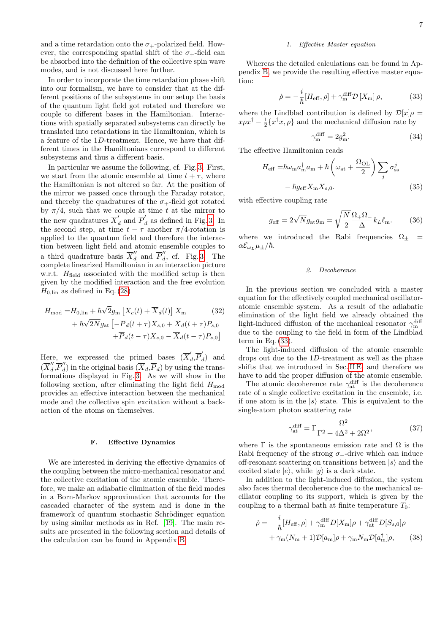and a time retardation onto the  $\sigma_{+}$ -polarized field. However, the corresponding spatial shift of the  $\sigma_{+}$ -field can be absorbed into the definition of the collective spin wave modes, and is not discussed here further.

In order to incorporate the time retardation phase shift into our formalism, we have to consider that at the different positions of the subsystems in our setup the basis of the quantum light field got rotated and therefore we couple to different bases in the Hamiltonian. Interactions with spatially separated subsystems can directly be translated into retardations in the Hamiltonian, which is a feature of the 1D-treatment. Hence, we have that different times in the Hamiltonians correspond to different subsystems and thus a different basis.

In particular we assume the following, cf. Fig. [3.](#page-5-1) First, we start from the atomic ensemble at time  $t + \tau$ , where the Hamiltonian is not altered so far. At the position of the mirror we passed once through the Faraday rotator, and thereby the quadratures of the  $\sigma_{+}$ -field got rotated by  $\pi/4$ , such that we couple at time t at the mirror to the new quadratures  $\overline{X}'_d$  and  $\overline{P}'_d$  as defined in Fig. [3.](#page-5-1) In the second step, at time  $t - \tau$  another  $\pi/4$ -rotation is applied to the quantum field and therefore the interaction between light field and atomic ensemble couples to a third quadrature basis  $\overline{X}_{d}^{\prime\prime}$  and  $\overline{P}_{d}^{\prime\prime}$  $\int_{d}^{\prime}$ , cf. Fig. [3.](#page-5-1) The complete linearized Hamiltonian in an interaction picture w.r.t.  $H_{\text{field}}$  associated with the modified setup is then given by the modified interaction and the free evolution  $H_{0,\text{lin}}$  as defined in Eq. [\(28\)](#page-5-2)

$$
H_{\text{mod}} = H_{0,\text{lin}} + \hbar \sqrt{2} g_{\text{m}} \left[ X_c(t) + \overline{X}_d(t) \right] X_{\text{m}} \qquad (32)
$$

$$
+ \hbar \sqrt{2N} g_{\text{at}} \left[ -\overline{P}_d(t+\tau) X_{s,0} + \overline{X}_d(t+\tau) P_{s,0} \right]
$$

$$
+\overline{P}_d(t-\tau)X_{s,0}-\overline{X}_d(t-\tau)P_{s,0}\big]
$$

Here, we expressed the primed bases  $(\overline{X}'_c)$  $\int_d$ , $\overline{P}'_d$  $\ell_d$ ) and  $(\overline{X}_{d}^{\prime\prime}% )^{1/2}=\overline{X}_{d}^{\prime\prime\prime}+\overline{X}_{d}^{\prime\prime\prime}$  $\sum_{d}^{\prime\prime} \overline{P}_d^{\prime\prime}$  $\binom{d}{d}$  in the original basis  $(X_d, P_d)$  by using the transformations displayed in Fig. [3.](#page-5-1) As we will show in the following section, after eliminating the light field  $H_{\text{mod}}$ provides an effective interaction between the mechanical mode and the collective spin excitation without a backaction of the atoms on themselves.

### F. Effective Dynamics

We are interested in deriving the effective dynamics of the coupling between the micro-mechanical resonator and the collective excitation of the atomic ensemble. Therefore, we make an adiabatic elimination of the field modes in a Born-Markov approximation that accounts for the cascaded character of the system and is done in the framework of quantum stochastic Schrödinger equation by using similar methods as in Ref. [\[19\]](#page-13-12). The main results are presented in the following section and details of the calculation can be found in Appendix [B.](#page-11-1)

# 1. Effective Master equation

Whereas the detailed calculations can be found in Appendix [B,](#page-11-1) we provide the resulting effective master equation:

$$
\dot{\rho} = -\frac{i}{\hbar} [H_{\text{eff}}, \rho] + \gamma_{\text{m}}^{\text{diff}} \mathcal{D} \left[ X_{\text{m}} \right] \rho, \tag{33}
$$

where the Lindblad contribution is defined by  $\mathcal{D}[x]\rho =$  $x\rho x^{\dagger} - \frac{1}{2} \{x^{\dagger}x, \rho\}$  and the mechanical diffusion rate by

<span id="page-6-5"></span><span id="page-6-3"></span><span id="page-6-1"></span>
$$
\gamma_{\rm m}^{\rm diff} = 2g_{\rm m}^2. \tag{34}
$$

The effective Hamiltonian reads

$$
H_{\text{eff}} = \hbar \omega_{\text{m}} a_{\text{m}}^{\dagger} a_{\text{m}} + \hbar \left( \omega_{\text{at}} + \frac{\Omega_{\text{OL}}}{2} \right) \sum_{j} \sigma_{\text{ss}}^{j}
$$

$$
- \hbar g_{\text{eff}} X_{\text{m}} X_{s,0}. \tag{35}
$$

with effective coupling rate

$$
g_{\text{eff}} = 2\sqrt{N}g_{\text{at}}g_{\text{m}} = \sqrt{\frac{N}{2}}\frac{\Omega_{+}\Omega_{-}}{\Delta}k_{L}\ell_{\text{m}}.\tag{36}
$$

where we introduced the Rabi frequencies  $\Omega_{\pm}$  =  $\alpha \mathcal{E}_{\omega_L} \mu_{\pm}/\hbar$ .

### <span id="page-6-4"></span><span id="page-6-0"></span>2. Decoherence

<span id="page-6-6"></span>In the previous section we concluded with a master equation for the effectively coupled mechanical oscillatoratomic ensemble system. As a result of the adiabatic elimination of the light field we already obtained the light-induced diffusion of the mechanical resonator  $\gamma_{\rm m}^{\rm diff}$ due to the coupling to the field in form of the Lindblad term in Eq.  $(33)$ .

The light-induced diffusion of the atomic ensemble drops out due to the 1D-treatment as well as the phase shifts that we introduced in Sec. [II E,](#page-5-3) and therefore we have to add the proper diffusion of the atomic ensemble.

The atomic decoherence rate  $\gamma_{at}^{\text{diff}}$  is the decoherence rate of a single collective excitation in the ensemble, i.e. if one atom is in the  $|s\rangle$  state. This is equivalent to the single-atom photon scattering rate

$$
\gamma_{\text{at}}^{\text{diff}} = \Gamma \frac{\Omega^2}{\Gamma^2 + 4\Delta^2 + 2\Omega^2},\tag{37}
$$

where  $\Gamma$  is the spontaneous emission rate and  $\Omega$  is the Rabi frequency of the strong  $\sigma_$ -drive which can induce off-resonant scattering on transitions between  $|s\rangle$  and the excited state  $|e\rangle$ , while  $|g\rangle$  is a dark state.

In addition to the light-induced diffusion, the system also faces thermal decoherence due to the mechanical oscillator coupling to its support, which is given by the coupling to a thermal bath at finite temperature  $T_0$ :

<span id="page-6-2"></span>
$$
\dot{\rho} = -\frac{i}{\hbar} [H_{\text{eff}}, \rho] + \gamma_{\text{m}}^{\text{diff}} D[X_{\text{m}}] \rho + \gamma_{\text{at}}^{\text{diff}} D[S_{s,0}] \rho + \gamma_{\text{m}} (N_{\text{m}} + 1) \mathcal{D}[a_{\text{m}}] \rho + \gamma_{\text{m}} N_{\text{m}} \mathcal{D}[a_{\text{m}}^{\dagger}] \rho, \qquad (38)
$$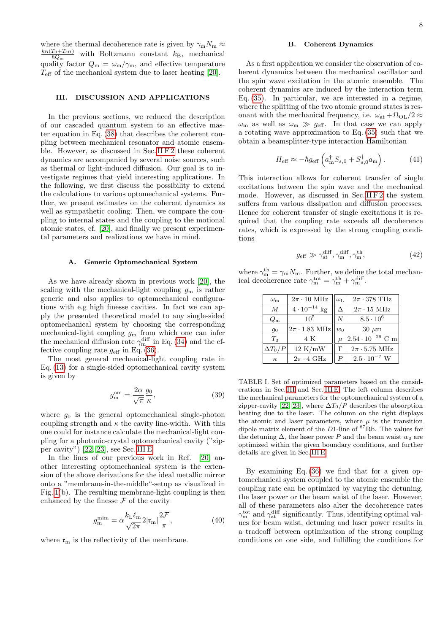where the thermal decoherence rate is given by  $\gamma_{\rm m} N_{\rm m} \approx$  $\frac{k_{\rm B}(T_0+T_{\rm eff})}{\hbar Q_{\rm m}}$  with Boltzmann constant  $k_{\rm B}$ , mechanical quality factor  $Q_{\rm m} = \omega_{\rm m}/\gamma_{\rm m}$ , and effective temperature  $T_{\text{eff}}$  of the mechanical system due to laser heating [\[20\]](#page-13-14).

# <span id="page-7-0"></span>III. DISCUSSION AND APPLICATIONS

In the previous sections, we reduced the description of our cascaded quantum system to an effective master equation in Eq. [\(38\)](#page-6-2) that describes the coherent coupling between mechanical resonator and atomic ensemble. However, as discussed in Sec. [II F 2](#page-6-0) these coherent dynamics are accompanied by several noise sources, such as thermal or light-induced diffusion. Our goal is to investigate regimes that yield interesting applications. In the following, we first discuss the possibility to extend the calculations to various optomechanical systems. Further, we present estimates on the coherent dynamics as well as sympathetic cooling. Then, we compare the coupling to internal states and the coupling to the motional atomic states, cf. [\[20\]](#page-13-14), and finally we present experimental parameters and realizations we have in mind.

## <span id="page-7-1"></span>A. Generic Optomechanical System

As we have already shown in previous work [\[20\]](#page-13-14), the scaling with the mechanical-light coupling  $g_m$  is rather generic and also applies to optomechanical configurations with e.g high finesse cavities. In fact we can apply the presented theoretical model to any single-sided optomechanical system by choosing the corresponding mechanical-light coupling  $g<sub>m</sub>$  from which one can infer the mechanical diffusion rate  $\gamma_{\text{m}}^{\text{diff}}$  in Eq. [\(34\)](#page-6-3) and the effective coupling rate  $g_{\text{eff}}$  in Eq. [\(36\)](#page-6-4).

The most general mechanical-light coupling rate in Eq. [\(13\)](#page-3-6) for a single-sided optomechanical cavity system is given by

$$
g_{\rm m}^{\rm om} = \frac{2\alpha}{\sqrt{\pi}} \frac{g_0}{\kappa},\tag{39}
$$

where  $g_0$  is the general optomechanical single-photon coupling strength and  $\kappa$  the cavity line-width. With this one could for instance calculate the mechanical-light coupling for a photonic-crystal optomechanical cavity ("zipper cavity") [\[22,](#page-13-15) [23\]](#page-13-16), see Sec. [III E.](#page-10-0)

In the lines of our previous work in Ref. [\[20\]](#page-13-14) another interesting optomechanical system is the extension of the above derivations for the ideal metallic mirror onto a "membrane-in-the-middle"-setup as visualized in Fig. [1\(](#page-1-1)b). The resulting membrane-light coupling is then enhanced by the finesse  $\mathcal F$  of the cavity

$$
g_{\rm m}^{\rm mim} = \alpha \frac{k_{\rm L} \ell_{\rm m}}{\sqrt{2\pi}} 2 |\mathfrak{r}_{\rm m}| \frac{2\mathcal{F}}{\pi},\tag{40}
$$

where  $\mathfrak{r}_{m}$  is the reflectivity of the membrane.

# <span id="page-7-6"></span>B. Coherent Dynamics

As a first application we consider the observation of coherent dynamics between the mechanical oscillator and the spin wave excitation in the atomic ensemble. The coherent dynamics are induced by the interaction term Eq. [\(35\)](#page-6-5). In particular, we are interested in a regime, where the splitting of the two atomic ground states is resonant with the mechanical frequency, i.e.  $\omega_{at} + \Omega_{OL}/2 \approx$  $\omega_{\rm m}$  as well as  $\omega_{\rm m} \gg g_{\rm eff}$ . In that case we can apply a rotating wave approximation to Eq. [\(35\)](#page-6-5) such that we obtain a beamsplitter-type interaction Hamiltonian

<span id="page-7-3"></span>
$$
H_{\text{eff}} \approx -\hbar g_{\text{eff}} \left( a_{\text{m}}^{\dagger} S_{s,0} + S_{s,0}^{\dagger} a_{\text{m}} \right). \tag{41}
$$

This interaction allows for coherent transfer of single excitations between the spin wave and the mechanical mode. However, as discussed in Sec. [II F 2](#page-6-0) the system suffers from various dissipation and diffusion processes. Hence for coherent transfer of single excitations it is required that the coupling rate exceeds all decoherence rates, which is expressed by the strong coupling conditions

<span id="page-7-4"></span>
$$
g_{\text{eff}} \gg \gamma_{\text{at}}^{\text{diff}}, \gamma_{\text{m}}^{\text{diff}}, \gamma_{\text{m}}^{\text{th}}, \tag{42}
$$

where  $\gamma_m^{\text{th}} = \gamma_m N_m$ . Further, we define the total mechanical decoherence rate  $\gamma_m^{\text{tot}} = \gamma_m^{\text{th}} + \gamma_m^{\text{diff}}$ .

| $\omega_{\rm m}$ | $2\pi \cdot 10$ MHz   | $\omega_{\text{L}}$ | $2\pi \cdot 378$ THz      |  |  |
|------------------|-----------------------|---------------------|---------------------------|--|--|
| $\overline{M}$   | $4 \cdot 10^{-14}$ kg |                     | $2\pi \cdot 15$ MHz       |  |  |
| $Q_{\rm m}$      | $10^{5}$              | N                   | $8.5 \cdot 10^{6}$        |  |  |
| 90               | $2\pi \cdot 1.83$ MHz | $w_0$               | $30 \mu m$                |  |  |
| $T_0$            | 4 K                   | $\mu$               | $2.54 \cdot 10^{-29}$ C m |  |  |
| $\Delta T_0/P$   | 12 K/mW               |                     | $2\pi \cdot 5.75$ MHz     |  |  |
| $\kappa$         | $2\pi \cdot 4$ GHz    |                     | $2.5 \cdot 10^{-7}$ W     |  |  |

<span id="page-7-2"></span>TABLE I. Set of optimized parameters based on the considerations in Sec. [III](#page-7-0) and Sec. [III E.](#page-10-0) The left column describes the mechanical parameters for the optomechanical system of a zipper-cavity [\[22,](#page-13-15) [23\]](#page-13-16), where  $\Delta T_0/P$  describes the absorption heating due to the laser. The column on the right displays the atomic and laser parameters, where  $\mu$  is the transition dipole matrix element of the  $D1$ -line of  ${}^{87}$ Rb. The values for the detuning  $\Delta$ , the laser power P and the beam waist  $w_0$  are optimized within the given boundary conditions, and further details are given in Sec. [III E.](#page-10-0)

<span id="page-7-5"></span>By examining Eq. [\(36\)](#page-6-4) we find that for a given optomechanical system coupled to the atomic ensemble the coupling rate can be optimized by varying the detuning, the laser power or the beam waist of the laser. However, all of these parameters also alter the decoherence rates  $\gamma_{\rm m}^{\rm tot}$  and  $\gamma_{\rm at}^{\rm diff}$  significantly. Thus, identifying optimal values for beam waist, detuning and laser power results in a tradeoff between optimization of the strong coupling conditions on one side, and fulfilling the conditions for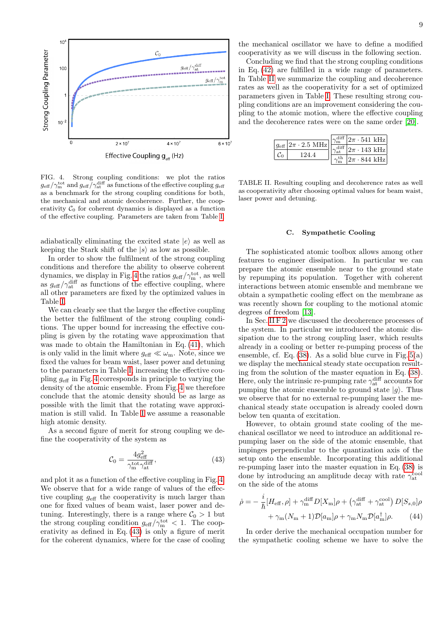

<span id="page-8-0"></span>FIG. 4. Strong coupling conditions: we plot the ratios  $g_{\text{eff}}/\gamma_{\text{m}}^{\text{tot}}$  and  $g_{\text{eff}}/\gamma_{\text{at}}^{\text{diff}}$  as functions of the effective coupling  $g_{\text{eff}}$ as a benchmark for the strong coupling conditions for both, the mechanical and atomic decoherence. Further, the cooperativity  $C_0$  for coherent dynamics is displayed as a function of the effective coupling. Parameters are taken from Table [I.](#page-7-2)

adiabatically eliminating the excited state  $|e\rangle$  as well as keeping the Stark shift of the  $|s\rangle$  as low as possible.

In order to show the fulfilment of the strong coupling conditions and therefore the ability to observe coherent dynamics, we display in Fig. [4](#page-8-0) the ratios  $g_{\text{eff}}/\gamma_{\text{m}}^{\text{tot}}$ , as well as  $g_{\text{eff}}/\gamma_{\text{at}}^{\text{diff}}$  as functions of the effective coupling, where all other parameters are fixed by the optimized values in Table [I.](#page-7-2)

We can clearly see that the larger the effective coupling the better the fulfilment of the strong coupling conditions. The upper bound for increasing the effective coupling is given by the rotating wave approximation that was made to obtain the Hamiltonian in Eq. [\(41\)](#page-7-3), which is only valid in the limit where  $g_{\text{eff}} \ll \omega_{\text{m}}$ . Note, since we fixed the values for beam waist, laser power and detuning to the parameters in Table [I,](#page-7-2) increasing the effective coupling geff in Fig. [4](#page-8-0) corresponds in principle to varying the density of the atomic ensemble. From Fig. [4](#page-8-0) we therefore conclude that the atomic density should be as large as possible with the limit that the rotating wave approximation is still valid. In Table [I](#page-7-2) we assume a reasonable high atomic density.

As a second figure of merit for strong coupling we define the cooperativity of the system as

$$
\mathcal{C}_0 = \frac{4g_{\text{eff}}^2}{\gamma_{\text{m}}^{\text{tot}} \gamma_{\text{at}}^{\text{diff}}},\tag{43}
$$

and plot it as a function of the effective coupling in Fig. [4.](#page-8-0) We observe that for a wide range of values of the effective coupling  $g_{\text{eff}}$  the cooperativity is much larger than one for fixed values of beam waist, laser power and detuning. Interestingly, there is a range where  $C_0 > 1$  but the strong coupling condition  $g_{\text{eff}}/\gamma_{\text{m}}^{\text{tot}} < 1$ . The cooperativity as defined in Eq. [\(43\)](#page-8-1) is only a figure of merit for the coherent dynamics, where for the case of cooling

the mechanical oscillator we have to define a modified cooperativity as we will discuss in the following section.

Concluding we find that the strong coupling conditions in Eq. [\(42\)](#page-7-4) are fulfilled in a wide range of parameters. In Table [II](#page-8-2) we summarize the coupling and decoherence rates as well as the cooperativity for a set of optimized parameters given in Table [I.](#page-7-2) These resulting strong coupling conditions are an improvement considering the coupling to the atomic motion, where the effective coupling and the decoherence rates were on the same order [\[20\]](#page-13-14).

|                                             | $ 2\pi \cdot 541 \text{ kHz} $ |
|---------------------------------------------|--------------------------------|
| $q_{\text{eff}}$ 2 $\pi$ · 2.5 MHz<br>194 4 | $ 2\pi \cdot 143 \text{ kHz} $ |
|                                             | $ 2\pi \cdot 844 \text{ kHz} $ |

<span id="page-8-2"></span>TABLE II. Resulting coupling and decoherence rates as well as cooperativity after choosing optimal values for beam waist, laser power and detuning.

# C. Sympathetic Cooling

The sophisticated atomic toolbox allows among other features to engineer dissipation. In particular we can prepare the atomic ensemble near to the ground state by repumping its population. Together with coherent interactions between atomic ensemble and membrane we obtain a sympathetic cooling effect on the membrane as was recently shown for coupling to the motional atomic degrees of freedom [\[13\]](#page-13-7).

In Sec. [II F 2](#page-6-0) we discussed the decoherence processes of the system. In particular we introduced the atomic dissipation due to the strong coupling laser, which results already in a cooling or better re-pumping process of the ensemble, cf. Eq.  $(38)$ . As a solid blue curve in Fig.  $5(a)$ we display the mechanical steady state occupation resulting from the solution of the master equation in Eq. [\(38\)](#page-6-2). Here, only the intrinsic re-pumping rate  $\gamma_{at}^{\text{diff}}$  accounts for pumping the atomic ensemble to ground state  $|g\rangle$ . Thus we observe that for no external re-pumping laser the mechanical steady state occupation is already cooled down below ten quanta of excitation.

<span id="page-8-1"></span>However, to obtain ground state cooling of the mechanical oscillator we need to introduce an additional repumping laser on the side of the atomic ensemble, that impinges perpendicular to the quantization axis of the setup onto the ensemble. Incorporating this additional re-pumping laser into the master equation in Eq. [\(38\)](#page-6-2) is done by introducing an amplitude decay with rate  $\gamma_{\rm at}^{\rm cool}$ on the side of the atoms

<span id="page-8-3"></span>
$$
\dot{\rho} = -\frac{i}{\hbar} [H_{\text{eff}}, \rho] + \gamma_{\text{m}}^{\text{diff}} D[X_{\text{m}}] \rho + (\gamma_{\text{at}}^{\text{diff}} + \gamma_{\text{at}}^{\text{cool}}) D[S_{s,0}] \rho + \gamma_{\text{m}} (N_{\text{m}} + 1) \mathcal{D}[a_{\text{m}}] \rho + \gamma_{\text{m}} N_{\text{m}} \mathcal{D}[a_{\text{m}}^{\dagger}] \rho.
$$
(44)

In order derive the mechanical occupation number for the sympathetic cooling scheme we have to solve the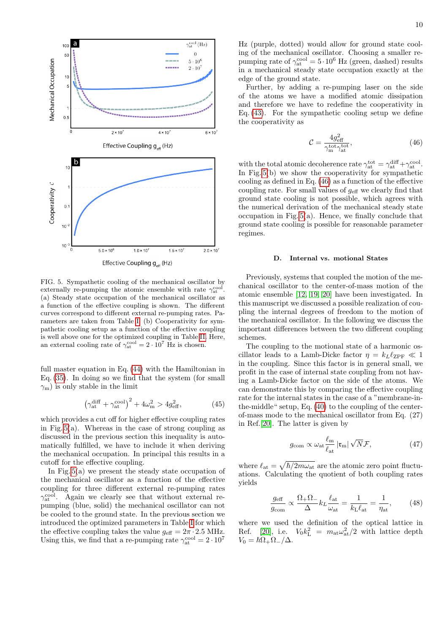

<span id="page-9-0"></span>FIG. 5. Sympathetic cooling of the mechanical oscillator by externally re-pumping the atomic ensemble with rate  $\gamma_{\rm at}^{\rm cool}$ . (a) Steady state occupation of the mechanical oscillator as a function of the effective coupling is shown. The different curves correspond to different external re-pumping rates. Parameters are taken from Table [I.](#page-7-2) (b) Cooperativity for sympathetic cooling setup as a function of the effective coupling is well above one for the optimized coupling in Table [II.](#page-8-2) Here, an external cooling rate of  $\gamma_{\rm at}^{\rm cool} = 2 \cdot 10^7$  Hz is chosen.

full master equation in Eq. [\(44\)](#page-8-3) with the Hamiltonian in Eq. [\(35\)](#page-6-5). In doing so we find that the system (for small  $\gamma_{\rm m}$ ) is only stable in the limit

$$
\left(\gamma_{\rm at}^{\rm diff} + \gamma_{\rm at}^{\rm cool}\right)^2 + 4\omega_{\rm m}^2 > 4g_{\rm eff}^2,\tag{45}
$$

which provides a cut off for higher effective coupling rates in Fig. [5\(](#page-9-0)a). Whereas in the case of strong coupling as discussed in the previous section this inequality is automatically fulfilled, we have to include it when deriving the mechanical occupation. In principal this results in a cutoff for the effective coupling.

In Fig. [5\(](#page-9-0)a) we present the steady state occupation of the mechanical oscillator as a function of the effective coupling for three different external re-pumping rates  $\gamma_{\rm at}^{\rm cool}$ . Again we clearly see that without external repumping (blue, solid) the mechanical oscillator can not be cooled to the ground state. In the previous section we introduced the optimized parameters in Table [I](#page-7-2) for which the effective coupling takes the value  $q_{\text{eff}} = 2\pi \cdot 2.5 \text{ MHz}.$ Using this, we find that a re-pumping rate  $\gamma_{\text{at}}^{\text{cool}} = 2 \cdot 10^7$ 

Hz (purple, dotted) would allow for ground state cooling of the mechanical oscillator. Choosing a smaller repumping rate of  $\gamma_{at}^{\text{cool}} = 5 \cdot 10^6$  Hz (green, dashed) results in a mechanical steady state occupation exactly at the edge of the ground state.

Further, by adding a re-pumping laser on the side of the atoms we have a modified atomic dissipation and therefore we have to redefine the cooperativity in Eq. [\(43\)](#page-8-1). For the sympathetic cooling setup we define the cooperativity as

<span id="page-9-1"></span>
$$
\mathcal{C} = \frac{4g_{\text{eff}}^2}{\gamma_{\text{m}}^{\text{tot}} \gamma_{\text{at}}^{\text{tot}}},\tag{46}
$$

with the total atomic decoherence rate  $\gamma_{at}^{tot} = \gamma_{at}^{diff} + \gamma_{at}^{cool}$ . In Fig. [5\(](#page-9-0)b) we show the cooperativity for sympathetic cooling as defined in Eq. [\(46\)](#page-9-1) as a function of the effective coupling rate. For small values of  $g_{\text{eff}}$  we clearly find that ground state cooling is not possible, which agrees with the numerical derivation of the mechanical steady state occupation in Fig. [5\(](#page-9-0)a). Hence, we finally conclude that ground state cooling is possible for reasonable parameter regimes.

# D. Internal vs. motional States

Previously, systems that coupled the motion of the mechanical oscillator to the center-of-mass motion of the atomic ensemble [\[12,](#page-13-24) [19,](#page-13-12) [20\]](#page-13-14) have been investigated. In this manuscript we discussed a possible realization of coupling the internal degrees of freedom to the motion of the mechanical oscillator. In the following we discuss the important differences between the two different coupling schemes.

The coupling to the motional state of a harmonic oscillator leads to a Lamb-Dicke factor  $\eta = k_L \ell_{\rm ZPF} \ll 1$ in the coupling. Since this factor is in general small, we profit in the case of internal state coupling from not having a Lamb-Dicke factor on the side of the atoms. We can demonstrate this by comparing the effective coupling rate for the internal states in the case of a "membrane-inthe-middle" setup, Eq. [\(40\)](#page-7-5) to the coupling of the centerof-mass mode to the mechanical oscillator from Eq. (27) in Ref.[\[20\]](#page-13-14). The latter is given by

$$
g_{\rm com} \propto \omega_{\rm at} \frac{\ell_{\rm m}}{\ell_{\rm at}} \left| \mathfrak{r}_{\rm m} \right| \sqrt{N} \mathcal{F}, \tag{47}
$$

where  $\ell_{\rm at} = \sqrt{\hbar/2m\omega_{\rm at}}$  are the atomic zero point fluctuations. Calculating the quotient of both coupling rates yields

$$
\frac{g_{\text{eff}}}{g_{\text{com}}} \propto \frac{\Omega_+ \Omega_-}{\Delta} k_L \frac{\ell_{\text{at}}}{\omega_{\text{at}}} = \frac{1}{k_L \ell_{\text{at}}} = \frac{1}{\eta_{\text{at}}},\qquad(48)
$$

where we used the definition of the optical lattice in Ref. [\[20\]](#page-13-14), i.e.  $V_0 k_L^2 = m_{at} \omega_{at}^2/2$  with lattice depth  $V_0 = \hbar \Omega_+ \Omega_- / \Delta$ .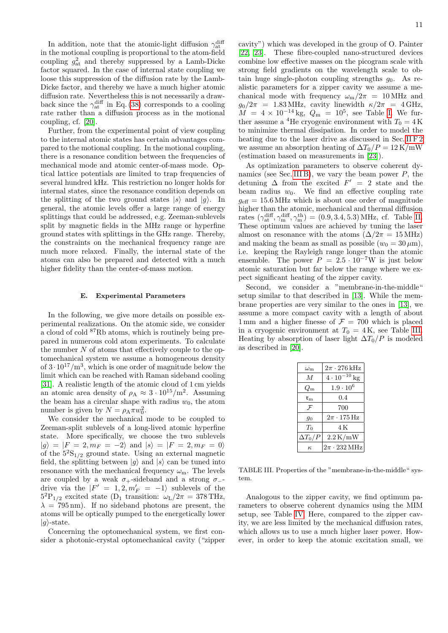11

In addition, note that the atomic-light diffusion  $\gamma_{\rm at}^{\rm diff}$ in the motional coupling is proportional to the atom-field coupling  $g_{\text{at}}^2$  and thereby suppressed by a Lamb-Dicke factor squared. In the case of internal state coupling we loose this suppression of the diffusion rate by the Lamb-Dicke factor, and thereby we have a much higher atomic diffusion rate. Nevertheless this is not necessarily a drawback since the  $\gamma_{at}^{\text{diff}}$  in Eq. [\(38\)](#page-6-2) corresponds to a cooling rate rather than a diffusion process as in the motional coupling, cf. [\[20\]](#page-13-14).

Further, from the experimental point of view coupling to the internal atomic states has certain advantages compared to the motional coupling. In the motional coupling, there is a resonance condition between the frequencies of mechanical mode and atomic center-of-mass mode. Optical lattice potentials are limited to trap frequencies of several hundred kHz. This restriction no longer holds for internal states, since the resonance condition depends on the splitting of the two ground states  $|s\rangle$  and  $|g\rangle$ . In general, the atomic levels offer a large range of energy splittings that could be addressed, e.g. Zeeman-sublevels split by magnetic fields in the MHz range or hyperfine ground states with splittings in the GHz range. Thereby, the constraints on the mechanical frequency range are much more relaxed. Finally, the internal state of the atoms can also be prepared and detected with a much higher fidelity than the center-of-mass motion.

# <span id="page-10-0"></span>E. Experimental Parameters

In the following, we give more details on possible experimental realizations. On the atomic side, we consider a cloud of cold <sup>87</sup>Rb atoms, which is routinely being prepared in numerous cold atom experiments. To calculate the number  $N$  of atoms that effectively couple to the optomechanical system we assume a homogeneous density of  $3 \cdot 10^{17}$ /m<sup>3</sup>, which is one order of magnitude below the limit which can be reached with Raman sideband cooling [\[31\]](#page-13-25). A realistic length of the atomic cloud of 1 cm yields an atomic area density of  $\rho_A \approx 3 \cdot 10^{15}/m^2$ . Assuming the beam has a circular shape with radius  $w_0$ , the atom number is given by  $N = \rho_A \pi w_0^2$ .

We consider the mechanical mode to be coupled to Zeeman-split sublevels of a long-lived atomic hyperfine state. More specifically, we choose the two sublevels  $|g\rangle = |F = 2, m_F = -2\rangle$  and  $|s\rangle = |F = 2, m_F = 0\rangle$ of the  $5^{2}S_{1/2}$  ground state. Using an external magnetic field, the splitting between  $|g\rangle$  and  $|s\rangle$  can be tuned into resonance with the mechanical frequency  $\omega_{\rm m}$ . The levels are coupled by a weak  $\sigma_+$ -sideband and a strong  $\sigma_-$ drive via the  $|F' = 1, 2, m'_F = -1\rangle$  sublevels of the  $5^{2}P_{1/2}$  excited state (D<sub>1</sub> transition:  $\omega_{L}/2\pi = 378 \text{ THz}$ ,  $\lambda = 795 \,\mathrm{nm}$ ). If no sideband photons are present, the atoms will be optically pumped to the energetically lower  $|g\rangle$ -state.

Concerning the optomechanical system, we first consider a photonic-crystal optomechanical cavity ("zipper cavity") which was developed in the group of O. Painter [\[22,](#page-13-15) [23\]](#page-13-16). These fibre-coupled nano-structured devices combine low effective masses on the picogram scale with strong field gradients on the wavelength scale to obtain huge single-photon coupling strengths  $g_0$ . As realistic parameters for a zipper cavity we assume a mechanical mode with frequency  $\omega_{\rm m}/2\pi$  = 10 MHz and  $g_0/2\pi$  = 1.83 MHz, cavity linewidth  $\kappa/2\pi$  = 4 GHz,  $M = 4 \times 10^{-14}$  kg,  $Q_{\rm m} = 10^5$ , see Table [I.](#page-7-2) We further assume a <sup>4</sup>He cryogenic environment with  $T_0 = 4$  K to minimize thermal dissipation. In order to model the heating due to the laser drive as discussed in Sec. [II F 2](#page-6-0) we assume an absorption heating of  $\Delta T_0/P = 12 \text{ K/mW}$ (estimation based on measurements in [\[23\]](#page-13-16)).

As optimization parameters to observe coherent dy-namics (see Sec. [III B\)](#page-7-6), we vary the beam power  $P$ , the detuning  $\Delta$  from the excited  $F' = 2$  state and the beam radius  $w_0$ . We find an effective coupling rate  $g_{\text{eff}} = 15.6 \text{ MHz}$  which is about one order of magnitude higher than the atomic, mechanical and thermal diffusion rates  $(\gamma_{at}^{\text{diff}}, \gamma_{m}^{\text{diff}}, \gamma_{m}^{\text{th}}) = (0.9, 3.4, 5.3) \text{ MHz}$ , cf. Table [II.](#page-8-2) These optimum values are achieved by tuning the laser almost on resonance with the atoms  $(\Delta/2\pi = 15 \text{ MHz})$ and making the beam as small as possible  $(w_0 = 30 \,\mu\text{m})$ , i.e. keeping the Rayleigh range longer than the atomic ensemble. The power  $P = 2.5 \cdot 10^{-7}$ W is just below atomic saturation but far below the range where we expect significant heating of the zipper cavity.

Second, we consider a "membrane-in-the-middle" setup similar to that described in [\[13\]](#page-13-7). While the membrane properties are very similar to the ones in [\[13\]](#page-13-7), we assume a more compact cavity with a length of about 1 mm and a higher finesse of  $\mathcal{F} = 700$  which is placed in a cryogenic environment at  $T_0 = 4$ K, see Table [III.](#page-10-1) Heating by absorption of laser light  $\Delta T_0/P$  is modeled as described in [\[20\]](#page-13-14).

| $\omega_{\rm m}$            | $2\pi \cdot 276$ kHz            |  |  |
|-----------------------------|---------------------------------|--|--|
| M                           | $4 \cdot 10^{-10}$ kg           |  |  |
| $Q_{\rm m}$                 | $1.9 \cdot 10^6$                |  |  |
| $\mathfrak{r}_{\mathsf{m}}$ | $0.4\,$                         |  |  |
| $\mathcal F$                | 700                             |  |  |
| 90                          | $2\pi \cdot 175\,\mathrm{Hz}$   |  |  |
| $T_{0}$                     | 4 K                             |  |  |
| $\Delta T_0/P$              | $2.2\,\mathrm{K/mW}$            |  |  |
| к.                          | $2\pi \cdot 232 \,\mathrm{MHz}$ |  |  |

<span id="page-10-1"></span>TABLE III. Properties of the "membrane-in-the-middle" system.

Analogous to the zipper cavity, we find optimum parameters to observe coherent dynamics using the MIM setup, see Table [IV.](#page-11-2) Here, compared to the zipper cavity, we are less limited by the mechanical diffusion rates, which allows us to use a much higher laser power. However, in order to keep the atomic excitation small, we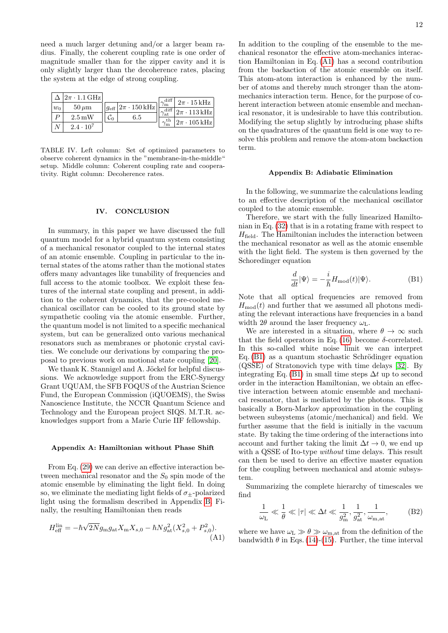need a much larger detuning and/or a larger beam radius. Finally, the coherent coupling rate is one order of magnitude smaller than for the zipper cavity and it is only slightly larger than the decoherence rates, placing the system at the edge of strong coupling.

|         | $ 2\pi \cdot 1.1 \text{ GHz} $ |                                                | $$ diff <sup>1</sup> | $2\pi \cdot 15$ kHz             |
|---------|--------------------------------|------------------------------------------------|----------------------|---------------------------------|
| $ w_0 $ | $50 \,\mathrm{\mu m}$          | $ g_{\text{eff}} 2\pi \cdot 150 \,\text{kHz} $ | $\gamma_{\rm m}$     | $ 2\pi\cdot113\,\mathrm{kHz} $  |
|         | $2.5 \,\mathrm{mW}$            | 6.5                                            | $\gamma_{\rm at}$    | $ 2\pi \cdot 105 \mathrm{kHz} $ |
|         | $2.4 \cdot 10^7$               |                                                |                      |                                 |

<span id="page-11-2"></span>TABLE IV. Left column: Set of optimized parameters to observe coherent dynamics in the "membrane-in-the-middle" setup. Middle column: Coherent coupling rate and cooperativity. Right column: Decoherence rates.

# IV. CONCLUSION

In summary, in this paper we have discussed the full quantum model for a hybrid quantum system consisting of a mechanical resonator coupled to the internal states of an atomic ensemble. Coupling in particular to the internal states of the atoms rather than the motional states offers many advantages like tunability of frequencies and full access to the atomic toolbox. We exploit these features of the internal state coupling and present, in addition to the coherent dynamics, that the pre-cooled mechanical oscillator can be cooled to its ground state by sympathetic cooling via the atomic ensemble. Further, the quantum model is not limited to a specific mechanical system, but can be generalized onto various mechanical resonators such as membranes or photonic crystal cavities. We conclude our derivations by comparing the proposal to previous work on motional state coupling [\[20\]](#page-13-14).

We thank K. Stannigel and A. Jöckel for helpful discussions. We acknowledge support from the ERC-Synergy Grant UQUAM, the SFB FOQUS of the Austrian Science Fund, the European Commission (iQUOEMS), the Swiss Nanoscience Institute, the NCCR Quantum Science and Technology and the European project SIQS. M.T.R. acknowledges support from a Marie Curie IIF fellowship.

# <span id="page-11-0"></span>Appendix A: Hamiltonian without Phase Shift

From Eq. [\(29\)](#page-5-0) we can derive an effective interaction between mechanical resonator and the  $S_0$  spin mode of the atomic ensemble by eliminating the light field. In doing so, we eliminate the mediating light fields of  $\sigma_{+}$ -polarized light using the formalism described in Appendix [B.](#page-11-1) Finally, the resulting Hamiltonian then reads

$$
H_{\text{eff}}^{\text{lin}} = -\hbar\sqrt{2N}g_{\text{m}}g_{\text{at}}X_{\text{m}}X_{s,0} - \hbar Ng_{\text{at}}^2(X_{s,0}^2 + P_{s,0}^2). \tag{A1}
$$

In addition to the coupling of the ensemble to the mechanical resonator the effective atom-mechanics interaction Hamiltonian in Eq. [\(A1\)](#page-11-3) has a second contribution from the backaction of the atomic ensemble on itself. This atom-atom interaction is enhanced by the number of atoms and thereby much stronger than the atommechanics interaction term. Hence, for the purpose of coherent interaction between atomic ensemble and mechanical resonator, it is undesirable to have this contribution. Modifying the setup slightly by introducing phase shifts on the quadratures of the quantum field is one way to resolve this problem and remove the atom-atom backaction term.

### <span id="page-11-1"></span>Appendix B: Adiabatic Elimination

In the following, we summarize the calculations leading to an effective description of the mechanical oscillator coupled to the atomic ensemble.

Therefore, we start with the fully linearized Hamiltonian in Eq. [\(32\)](#page-6-6) that is in a rotating frame with respect to  $H_{\text{field}}$ . The Hamiltonian includes the interaction between the mechanical resonator as well as the atomic ensemble with the light field. The system is then governed by the Schoredinger equation

<span id="page-11-4"></span>
$$
\frac{d}{dt}|\Psi\rangle = -\frac{i}{\hbar}H_{\text{mod}}(t)|\Psi\rangle.
$$
 (B1)

Note that all optical frequencies are removed from  $H_{\text{mod}}(t)$  and further that we assumed all photons mediating the relevant interactions have frequencies in a band width  $2\theta$  around the laser frequency  $\omega_L$ .

We are interested in a situation, where  $\theta \to \infty$  such that the field operators in Eq. [\(16\)](#page-3-7) become  $\delta$ -correlated. In this so-called white noise limit we can interpret Eq.  $(B1)$  as a quantum stochastic Schrödinger equation (QSSE) of Stratonovich type with time delays [\[32\]](#page-13-26). By integrating Eq. [\(B1\)](#page-11-4) in small time steps  $\Delta t$  up to second order in the interaction Hamiltonian, we obtain an effective interaction between atomic ensemble and mechanical resonator, that is mediated by the photons. This is basically a Born-Markov approximation in the coupling between subsystems (atomic/mechanical) and field. We further assume that the field is initially in the vacuum state. By taking the time ordering of the interactions into account and further taking the limit  $\Delta t \to 0$ , we end up with a QSSE of Ito-type *without* time delays. This result can then be used to derive an effective master equation for the coupling between mechanical and atomic subsystem.

Summarizing the complete hierarchy of timescales we find

<span id="page-11-5"></span>
$$
\frac{1}{\omega_{\rm L}} \ll \frac{1}{\theta} \ll |\tau| \ll \Delta t \ll \frac{1}{g_{\rm m}^2}, \frac{1}{g_{\rm at}^2}, \frac{1}{\omega_{\rm m,at}},
$$
 (B2)

<span id="page-11-3"></span>where we have  $\omega_{\text{L}} \gg \theta \gg \omega_{\text{m,at}}$  from the definition of the bandwidth  $\theta$  in Eqs. [\(14\)](#page-3-8)-[\(15\)](#page-3-2). Further, the time interval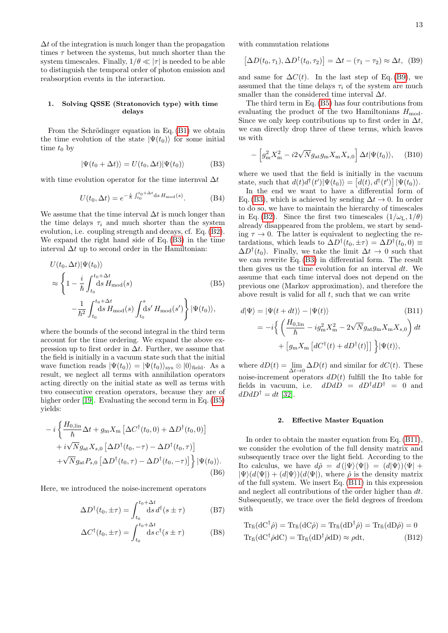$\Delta t$  of the integration is much longer than the propagation times  $\tau$  between the systems, but much shorter than the system timescales. Finally,  $1/\theta \ll |\tau|$  is needed to be able to distinguish the temporal order of photon emission and reabsorption events in the interaction.

# 1. Solving QSSE (Stratonovich type) with time delays

From the Schrödinger equation in Eq.  $(B1)$  we obtain the time evolution of the state  $|\Psi(t_0)\rangle$  for some initial time  $t_0$  by

$$
|\Psi(t_0 + \Delta t)\rangle = U(t_0, \Delta t)|\Psi(t_0)\rangle
$$
 (B3)

with time evolution operator for the time internval  $\Delta t$ 

$$
U(t_0, \Delta t) = e^{-\frac{i}{\hbar} \int_{t_0}^{t_0 + \Delta t} ds H_{\text{mod}}(s)}.
$$
 (B4)

We assume that the time interval  $\Delta t$  is much longer than the time delays  $\tau_i$  and much shorter than the system evolution, i.e. coupling strength and decays, cf. Eq. [\(B2\)](#page-11-5). We expand the right hand side of Eq. [\(B3\)](#page-12-0) in the time interval  $\Delta t$  up to second order in the Hamiltonian:

$$
U(t_0, \Delta t) |\Psi(t_0)\rangle
$$
  
\n
$$
\approx \left\{ 1 - \frac{i}{\hbar} \int_{t_0}^{t_0 + \Delta t} ds H_{\text{mod}}(s) \right\}
$$
 (B5)  
\n
$$
- \frac{1}{\hbar^2} \int_{t_0}^{t_0 + \Delta t} ds H_{\text{mod}}(s) \int_{t_0}^s ds' H_{\text{mod}}(s') \right\} |\Psi(t_0)\rangle,
$$

where the bounds of the second integral in the third term account for the time ordering. We expand the above expression up to first order in  $\Delta t$ . Further, we assume that the field is initially in a vacuum state such that the initial wave function reads  $|\Psi(t_0)\rangle = |\Psi(t_0)\rangle_{\text{svs}} \otimes |0\rangle_{\text{field}}$ . As a result, we neglect all terms with annihilation operators acting directly on the initial state as well as terms with two consecutive creation operators, because they are of higher order [\[19\]](#page-13-12). Evaluating the second term in Eq. [\(B5\)](#page-12-1) yields:

$$
-i\left\{\frac{H_{0,\text{lin}}}{\hbar}\Delta t + g_{\text{m}}X_{\text{m}}\left[\Delta C^{\dagger}(t_0,0) + \Delta D^{\dagger}(t_0,0)\right] \right. \\ \left. + i\sqrt{N}g_{\text{at}}X_{s,0}\left[\Delta D^{\dagger}(t_0,-\tau) - \Delta D^{\dagger}(t_0,\tau)\right] \right. \\ \left. + \sqrt{N}g_{\text{at}}P_{s,0}\left[\Delta D^{\dagger}(t_0,\tau) - \Delta D^{\dagger}(t_0,-\tau)\right]\right\}|\Psi(t_0)\rangle. \tag{B6}
$$

Here, we introduced the noise-increment operators

$$
\Delta D^{\dagger}(t_0, \pm \tau) = \int_{t_0}^{t_0 + \Delta t} ds \, d^{\dagger}(s \pm \tau) \tag{B7}
$$

$$
\Delta C^{\dagger}(t_0, \pm \tau) = \int_{t_0}^{t_0 + \Delta t} ds \, c^{\dagger}(s \pm \tau) \tag{B8}
$$

with commutation relations

<span id="page-12-2"></span>
$$
[\Delta D(t_0, \tau_1), \Delta D^{\dagger}(t_0, \tau_2)] = \Delta t - (\tau_1 - \tau_2) \approx \Delta t, \quad (B9)
$$

and same for  $\Delta C(t)$ . In the last step of Eq. [\(B9\)](#page-12-2), we assumed that the time delays  $\tau_i$  of the system are much smaller than the considered time interval  $\Delta t$ .

The third term in Eq. [\(B5\)](#page-12-1) has four contributions from evaluating the product of the two Hamiltonians  $H_{\text{mod}}$ . Since we only keep contributions up to first order in  $\Delta t$ , we can directly drop three of these terms, which leaves us with

$$
-\left[g_{\rm m}^2 X_{\rm m}^2 - i2\sqrt{N}g_{\rm at}g_{\rm m}X_{\rm m}X_{s,0}\right] \Delta t |\Psi(t_0)\rangle, \quad \text{(B10)}
$$

<span id="page-12-0"></span>where we used that the field is initially in the vacuum state, such that  $d(t)d^{\dagger}(t')|\Psi(t_0)\rangle = [d(t), d^{\dagger}(t')]|\Psi(t_0)\rangle$ .

In the end we want to have a differential form of Eq. [\(B3\)](#page-12-0), which is achieved by sending  $\Delta t \to 0$ . In order to do so, we have to maintain the hierarchy of timescales in Eq. [\(B2\)](#page-11-5). Since the first two timescales  $(1/\omega_L, 1/\theta)$ already disappeared from the problem, we start by sending  $\tau \to 0$ . The latter is equivalent to neglecting the retardations, which leads to  $\Delta D^{\dagger}(t_0, \pm \tau) = \Delta D^{\dagger}(t_0, 0) \equiv$  $\Delta D^{\dagger}(t_0)$ . Finally, we take the limit  $\Delta t \rightarrow 0$  such that we can rewrite Eq. [\(B3\)](#page-12-0) in differential form. The result then gives us the time evolution for an interval  $dt$ . We assume that each time interval does not depend on the previous one (Markov approximation), and therefore the above result is valid for all  $t$ , such that we can write

<span id="page-12-3"></span><span id="page-12-1"></span>
$$
d|\Psi\rangle = |\Psi(t+dt)\rangle - |\Psi(t)\rangle
$$
\n(B11)  
\n
$$
= -i \left\{ \left( \frac{H_{0,\text{lin}}}{\hbar} - ig_{\text{m}}^2 X_{\text{m}}^2 - 2\sqrt{N} g_{\text{at}} g_{\text{m}} X_{\text{m}} X_{s,0} \right) dt + [g_{\text{m}} X_{\text{m}} [dC^{\dagger}(t) + dD^{\dagger}(t)]] \right\} |\Psi(t)\rangle,
$$

where  $dD(t) = \lim_{\Delta t \to 0} \Delta D(t)$  and similar for  $dC(t)$ . These noise-increment operators  $dD(t)$  fulfill the Ito table for fields in vacuum, i.e.  $dDdD = dD^{\dagger}dD^{\dagger} = 0$  and  $dDdD^{\dagger} = dt$  [\[32\]](#page-13-26).

### 2. Effective Master Equation

In order to obtain the master equation from Eq. [\(B11\)](#page-12-3), we consider the evolution of the full density matrix and subsequently trace over the light field. According to the Ito calculus, we have  $d\hat{\rho} = d(\Psi \rangle \langle \Psi |) = (d|\Psi \rangle) \langle \Psi | +$  $|\Psi\rangle(d\langle\Psi|) + (d|\Psi\rangle)(d\langle\Psi|)$ , where  $\hat{\rho}$  is the density matrix of the full system. We insert Eq. [\(B11\)](#page-12-3) in this expression and neglect all contributions of the order higher than dt. Subsequently, we trace over the field degrees of freedom with

$$
Tr_{fi}(dC^{\dagger}\hat{\rho}) = Tr_{fi}(dC\hat{\rho}) = Tr_{fi}(dD^{\dagger}\hat{\rho}) = Tr_{fi}(dD\hat{\rho}) = 0
$$
  
\n
$$
Tr_{fi}(dC^{\dagger}\hat{\rho}dC) = Tr_{fi}(dD^{\dagger}\hat{\rho}dD) \approx \rho dt, \qquad (B12)
$$